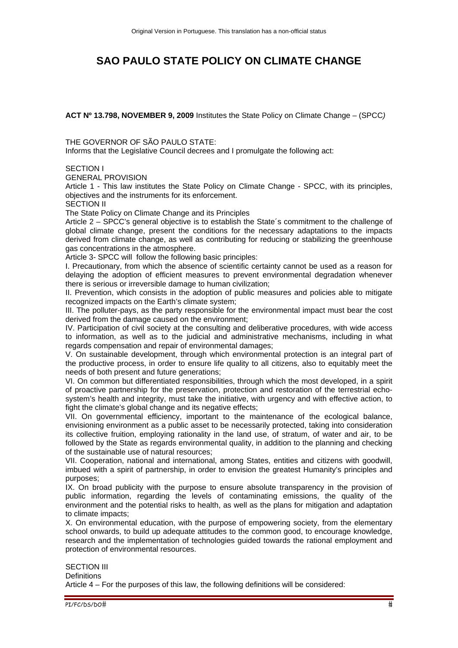# **SAO PAULO STATE POLICY ON CLIMATE CHANGE**

**ACT Nº 13.798, NOVEMBER 9, 2009** Institutes the State Policy on Climate Change – (SPCC*)* 

THE GOVERNOR OF SÃO PAULO STATE:

Informs that the Legislative Council decrees and I promulgate the following act:

## SECTION I

GENERAL PROVISION

Article 1 - This law institutes the State Policy on Climate Change - SPCC, with its principles, objectives and the instruments for its enforcement.

SECTION II

The State Policy on Climate Change and its Principles

Article 2 – SPCC's general objective is to establish the State´s commitment to the challenge of global climate change, present the conditions for the necessary adaptations to the impacts derived from climate change, as well as contributing for reducing or stabilizing the greenhouse gas concentrations in the atmosphere.

Article 3- SPCC will follow the following basic principles:

I. Precautionary, from which the absence of scientific certainty cannot be used as a reason for delaying the adoption of efficient measures to prevent environmental degradation whenever there is serious or irreversible damage to human civilization;

II. Prevention, which consists in the adoption of public measures and policies able to mitigate recognized impacts on the Earth's climate system;

III. The polluter-pays, as the party responsible for the environmental impact must bear the cost derived from the damage caused on the environment;

IV. Participation of civil society at the consulting and deliberative procedures, with wide access to information, as well as to the judicial and administrative mechanisms, including in what regards compensation and repair of environmental damages;

V. On sustainable development, through which environmental protection is an integral part of the productive process, in order to ensure life quality to all citizens, also to equitably meet the needs of both present and future generations;

VI. On common but differentiated responsibilities, through which the most developed, in a spirit of proactive partnership for the preservation, protection and restoration of the terrestrial echosystem's health and integrity, must take the initiative, with urgency and with effective action, to fight the climate's global change and its negative effects;

VII. On governmental efficiency, important to the maintenance of the ecological balance, envisioning environment as a public asset to be necessarily protected, taking into consideration its collective fruition, employing rationality in the land use, of stratum, of water and air, to be followed by the State as regards environmental quality, in addition to the planning and checking of the sustainable use of natural resources;

VII. Cooperation, national and international, among States, entities and citizens with goodwill, imbued with a spirit of partnership, in order to envision the greatest Humanity's principles and purposes;

IX. On broad publicity with the purpose to ensure absolute transparency in the provision of public information, regarding the levels of contaminating emissions, the quality of the environment and the potential risks to health, as well as the plans for mitigation and adaptation to climate impacts;

X. On environmental education, with the purpose of empowering society, from the elementary school onwards, to build up adequate attitudes to the common good, to encourage knowledge, research and the implementation of technologies guided towards the rational employment and protection of environmental resources.

#### SECTION III

**Definitions** 

Article 4 – For the purposes of this law, the following definitions will be considered: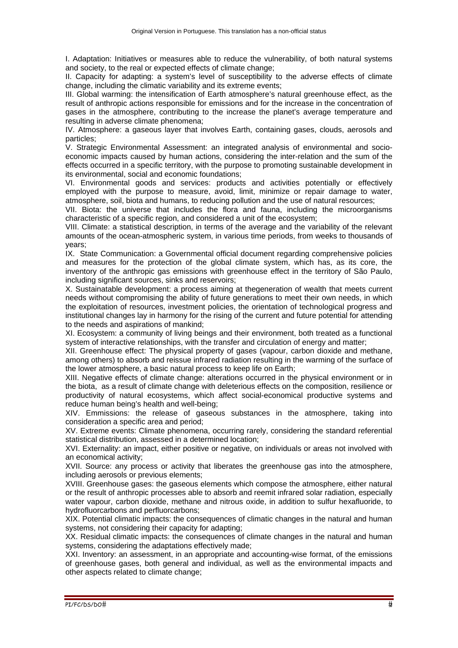I. Adaptation: Initiatives or measures able to reduce the vulnerability, of both natural systems and society, to the real or expected effects of climate change;

II. Capacity for adapting: a system's level of susceptibility to the adverse effects of climate change, including the climatic variability and its extreme events;

III. Global warming: the intensification of Earth atmosphere's natural greenhouse effect, as the result of anthropic actions responsible for emissions and for the increase in the concentration of gases in the atmosphere, contributing to the increase the planet's average temperature and resulting in adverse climate phenomena;

IV. Atmosphere: a gaseous layer that involves Earth, containing gases, clouds, aerosols and particles;

V. Strategic Environmental Assessment: an integrated analysis of environmental and socioeconomic impacts caused by human actions, considering the inter-relation and the sum of the effects occurred in a specific territory, with the purpose to promoting sustainable development in its environmental, social and economic foundations;

VI. Environmental goods and services: products and activities potentially or effectively employed with the purpose to measure, avoid, limit, minimize or repair damage to water, atmosphere, soil, biota and humans, to reducing pollution and the use of natural resources;

VII. Biota: the universe that includes the flora and fauna, including the microorganisms characteristic of a specific region, and considered a unit of the ecosystem;

VIII. Climate: a statistical description, in terms of the average and the variability of the relevant amounts of the ocean-atmospheric system, in various time periods, from weeks to thousands of years;

IX. State Communication: a Governmental official document regarding comprehensive policies and measures for the protection of the global climate system, which has, as its core, the inventory of the anthropic gas emissions with greenhouse effect in the territory of São Paulo, including significant sources, sinks and reservoirs;

X. Sustainatable development: a process aiming at thegeneration of wealth that meets current needs without compromising the ability of future generations to meet their own needs, in which the exploitation of resources, investment policies, the orientation of technological progress and institutional changes lay in harmony for the rising of the current and future potential for attending to the needs and aspirations of mankind;

XI. Ecosystem: a community of living beings and their environment, both treated as a functional system of interactive relationships, with the transfer and circulation of energy and matter;

XII. Greenhouse effect: The physical property of gases (vapour, carbon dioxide and methane, among others) to absorb and reissue infrared radiation resulting in the warming of the surface of the lower atmosphere, a basic natural process to keep life on Earth;

XIII. Negative effects of climate change: alterations occurred in the physical environment or in the biota, as a result of climate change with deleterious effects on the composition, resilience or productivity of natural ecosystems, which affect social-economical productive systems and reduce human being's health and well-being;

XIV. Emmissions: the release of gaseous substances in the atmosphere, taking into consideration a specific area and period;

XV. Extreme events: Climate phenomena, occurring rarely, considering the standard referential statistical distribution, assessed in a determined location;

XVI. Externality: an impact, either positive or negative, on individuals or areas not involved with an economical activity;

XVII. Source: any process or activity that liberates the greenhouse gas into the atmosphere, including aerosols or previous elements;

XVIII. Greenhouse gases: the gaseous elements which compose the atmosphere, either natural or the result of anthropic processes able to absorb and reemit infrared solar radiation, especially water vapour, carbon dioxide, methane and nitrous oxide, in addition to sulfur hexafluoride, to hydrofluorcarbons and perfluorcarbons;

XIX. Potential climatic impacts: the consequences of climatic changes in the natural and human systems, not considering their capacity for adapting;

XX. Residual climatic impacts: the consequences of climate changes in the natural and human systems, considering the adaptations effectively made;

XXI. Inventory: an assessment, in an appropriate and accounting-wise format, of the emissions of greenhouse gases, both general and individual, as well as the environmental impacts and other aspects related to climate change;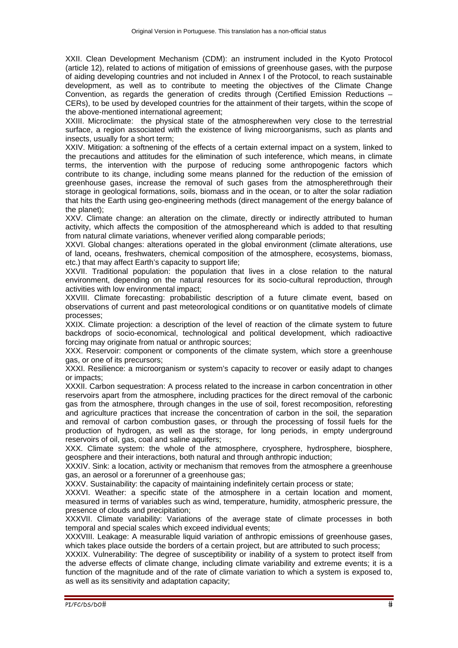XXII. Clean Development Mechanism (CDM): an instrument included in the Kyoto Protocol (article 12), related to actions of mitigation of emissions of greenhouse gases, with the purpose of aiding developing countries and not included in Annex I of the Protocol, to reach sustainable development, as well as to contribute to meeting the objectives of the Climate Change Convention, as regards the generation of credits through (Certified Emission Reductions – CERs), to be used by developed countries for the attainment of their targets, within the scope of the above-mentioned international agreement;

XXIII. Microclimate: the physical state of the atmospherewhen very close to the terrestrial surface, a region associated with the existence of living microorganisms, such as plants and insects, usually for a short term;

XXIV. Mitigation: a softnening of the effects of a certain external impact on a system, linked to the precautions and attitudes for the elimination of such inteference, which means, in climate terms, the intervention with the purpose of reducing some anthropogenic factors which contribute to its change, including some means planned for the reduction of the emission of greenhouse gases, increase the removal of such gases from the atmospherethrough their storage in geological formations, soils, biomass and in the ocean, or to alter the solar radiation that hits the Earth using geo-engineering methods (direct management of the energy balance of the planet);

XXV. Climate change: an alteration on the climate, directly or indirectly attributed to human activity, which affects the composition of the atmosphereand which is added to that resulting from natural climate variations, whenever verified along comparable periods;

XXVI. Global changes: alterations operated in the global environment (climate alterations, use of land, oceans, freshwaters, chemical composition of the atmosphere, ecosystems, biomass, etc.) that may affect Earth's capacity to support life;

XXVII. Traditional population: the population that lives in a close relation to the natural environment, depending on the natural resources for its socio-cultural reproduction, through activities with low environmental impact;

XXVIII. Climate forecasting: probabilistic description of a future climate event, based on observations of current and past meteorological conditions or on quantitative models of climate processes;

XXIX. Climate projection: a description of the level of reaction of the climate system to future backdrops of socio-economical, technological and political development, which radioactive forcing may originate from natual or anthropic sources;

XXX. Reservoir: component or components of the climate system, which store a greenhouse gas, or one of its precursors;

XXXI. Resilience: a microorganism or system's capacity to recover or easily adapt to changes or impacts;

XXXII. Carbon sequestration: A process related to the increase in carbon concentration in other reservoirs apart from the atmosphere, including practices for the direct removal of the carbonic gas from the atmosphere, through changes in the use of soil, forest recomposition, reforesting and agriculture practices that increase the concentration of carbon in the soil, the separation and removal of carbon combustion gases, or through the processing of fossil fuels for the production of hydrogen, as well as the storage, for long periods, in empty underground reservoirs of oil, gas, coal and saline aquifers;

XXX. Climate system: the whole of the atmosphere, cryosphere, hydrosphere, biosphere, geosphere and their interactions, both natural and through anthropic induction;

XXXIV. Sink: a location, activity or mechanism that removes from the atmosphere a greenhouse gas, an aerosol or a forerunner of a greenhouse gas;

XXXV. Sustainability: the capacity of maintaining indefinitely certain process or state;

XXXVI. Weather: a specific state of the atmosphere in a certain location and moment, measured in terms of variables such as wind, temperature, humidity, atmospheric pressure, the presence of clouds and precipitation;

XXXVII. Climate variability: Variations of the average state of climate processes in both temporal and special scales which exceed individual events;

XXXVIII. Leakage: A measurable liquid variation of anthropic emissions of greenhouse gases, which takes place outside the borders of a certain project, but are attributed to such process;

XXXIX. Vulnerability: The degree of susceptibility or inability of a system to protect itself from the adverse effects of climate change, including climate variability and extreme events; it is a function of the magnitude and of the rate of climate variation to which a system is exposed to, as well as its sensitivity and adaptation capacity;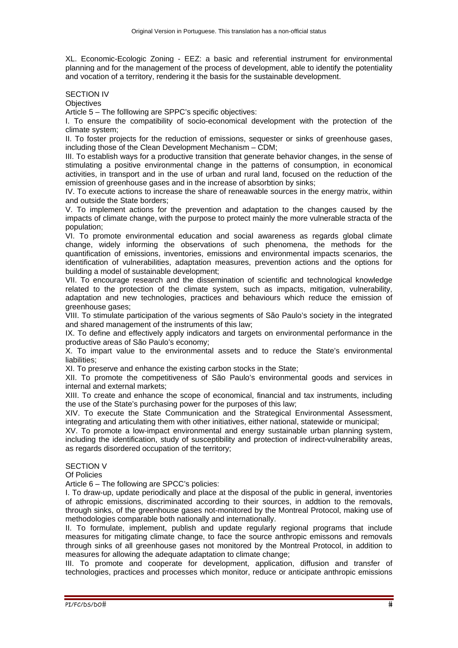XL. Economic-Ecologic Zoning - EEZ: a basic and referential instrument for environmental planning and for the management of the process of development, able to identify the potentiality and vocation of a territory, rendering it the basis for the sustainable development.

# SECTION IV

**Objectives** 

Article 5 – The folllowing are SPPC's specific objectives:

I. To ensure the compatibility of socio-economical development with the protection of the climate system;

II. To foster projects for the reduction of emissions, sequester or sinks of greenhouse gases, including those of the Clean Development Mechanism – CDM;

III. To establish ways for a productive transition that generate behavior changes, in the sense of stimulating a positive environmental change in the patterns of consumption, in economical activities, in transport and in the use of urban and rural land, focused on the reduction of the emission of greenhouse gases and in the increase of absorbtion by sinks;

IV. To execute actions to increase the share of reneawable sources in the energy matrix, within and outside the State borders;

V. To implement actions for the prevention and adaptation to the changes caused by the impacts of climate change, with the purpose to protect mainly the more vulnerable stracta of the population;

VI. To promote environmental education and social awareness as regards global climate change, widely informing the observations of such phenomena, the methods for the quantification of emissions, inventories, emissions and environmental impacts scenarios, the identification of vulnerabilities, adaptation measures, prevention actions and the options for building a model of sustainable development;

VII. To encourage research and the dissemination of scientific and technological knowledge related to the protection of the climate system, such as impacts, mitigation, vulnerability, adaptation and new technologies, practices and behaviours which reduce the emission of greenhouse gases;

VIII. To stimulate participation of the various segments of São Paulo's society in the integrated and shared management of the instruments of this law;

IX. To define and effectively apply indicators and targets on environmental performance in the productive areas of São Paulo's economy;

X. To impart value to the environmental assets and to reduce the State's environmental liabilities;

XI. To preserve and enhance the existing carbon stocks in the State;

XII. To promote the competitiveness of São Paulo's environmental goods and services in internal and external markets;

XIII. To create and enhance the scope of economical, financial and tax instruments, including the use of the State's purchasing power for the purposes of this law;

XIV. To execute the State Communication and the Strategical Environmental Assessment, integrating and articulating them with other initiatives, either national, statewide or municipal;

XV. To promote a low-impact environmental and energy sustainable urban planning system, including the identification, study of susceptibility and protection of indirect-vulnerability areas, as regards disordered occupation of the territory;

# SECTION V

Of Policies

Article 6 – The following are SPCC's policies:

I. To draw-up, update periodically and place at the disposal of the public in general, inventories of athropic emissions, discriminated according to their sources, in addtion to the removals, through sinks, of the greenhouse gases not-monitored by the Montreal Protocol, making use of methodologies comparable both nationally and internationally.

II. To formulate, implement, publish and update regularly regional programs that include measures for mitigating climate change, to face the source anthropic emissons and removals through sinks of all greenhouse gases not monitored by the Montreal Protocol, in addition to measures for allowing the adequate adaptation to climate change;

III. To promote and cooperate for development, application, diffusion and transfer of technologies, practices and processes which monitor, reduce or anticipate anthropic emissions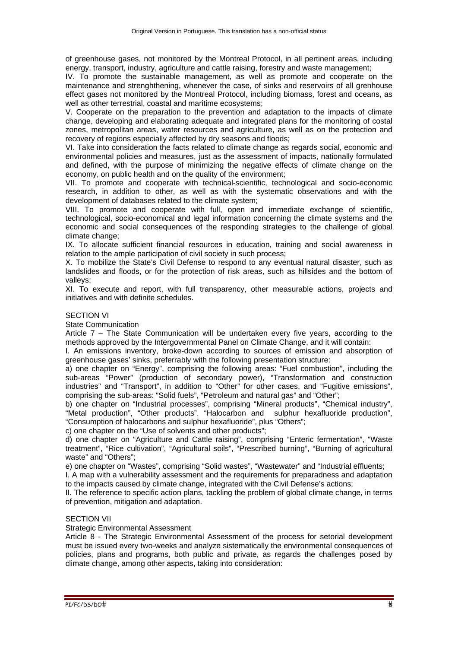of greenhouse gases, not monitored by the Montreal Protocol, in all pertinent areas, including energy, transport, industry, agriculture and cattle raising, forestry and waste management;

IV. To promote the sustainable management, as well as promote and cooperate on the maintenance and strenghthening, whenever the case, of sinks and reservoirs of all grenhouse effect gases not monitored by the Montreal Protocol, including biomass, forest and oceans, as well as other terrestrial, coastal and maritime ecosystems;

V. Cooperate on the preparation to the prevention and adaptation to the impacts of climate change, developing and elaborating adequate and integrated plans for the monitoring of costal zones, metropolitan areas, water resources and agriculture, as well as on the protection and recovery of regions especially affected by dry seasons and floods;

VI. Take into consideration the facts related to climate change as regards social, economic and environmental policies and measures, just as the assessment of impacts, nationally formulated and defined, with the purpose of minimizing the negative effects of climate change on the economy, on public health and on the quality of the environment;

VII. To promote and cooperate with technical-scientific, technological and socio-economic research, in addition to other, as well as with the systematic observations and with the development of databases related to the climate system;

VIII. To promote and cooperate with full, open and immediate exchange of scientific, technological, socio-economical and legal information concerning the climate systems and the economic and social consequences of the responding strategies to the challenge of global climate change;

IX. To allocate sufficient financial resources in education, training and social awareness in relation to the ample participation of civil society in such process;

X. To mobilize the State's Civil Defense to respond to any eventual natural disaster, such as landslides and floods, or for the protection of risk areas, such as hillsides and the bottom of valleys;

XI. To execute and report, with full transparency, other measurable actions, projects and initiatives and with definite schedules.

# SECTION VI

State Communication

Article 7 – The State Communication will be undertaken every five years, according to the methods approved by the Intergovernmental Panel on Climate Change, and it will contain:

I. An emissions inventory, broke-down according to sources of emission and absorption of greenhouse gases' sinks, preferrably with the following presentation structure:

a) one chapter on "Energy", comprising the following areas: "Fuel combustion", including the sub-areas "Power" (production of secondary power), "Transformation and construction industries" and "Transport", in addition to "Other" for other cases, and "Fugitive emissions", comprising the sub-areas: "Solid fuels", "Petroleum and natural gas" and "Other";

b) one chapter on "Industrial processes", comprising "Mineral products", "Chemical industry", "Metal production", "Other products", "Halocarbon and sulphur hexafluoride production", "Consumption of halocarbons and sulphur hexafluoride", plus "Others";

c) one chapter on the "Use of solvents and other products";

d) one chapter on "Agriculture and Cattle raising", comprising "Enteric fermentation", "Waste treatment", "Rice cultivation", "Agricultural soils", "Prescribed burning", "Burning of agricultural waste" and "Others";

e) one chapter on "Wastes", comprising "Solid wastes", "Wastewater" and "Industrial effluents;

I. A map with a vulnerability assessment and the requirements for preparadness and adaptation to the impacts caused by climate change, integrated with the Civil Defense's actions;

II. The reference to specific action plans, tackling the problem of global climate change, in terms of prevention, mitigation and adaptation.

## SECTION VII

Strategic Environmental Assessment

Article 8 - The Strategic Environmental Assessment of the process for setorial development must be issued every two-weeks and analyze sistematically the environmental consequences of policies, plans and programs, both public and private, as regards the challenges posed by climate change, among other aspects, taking into consideration: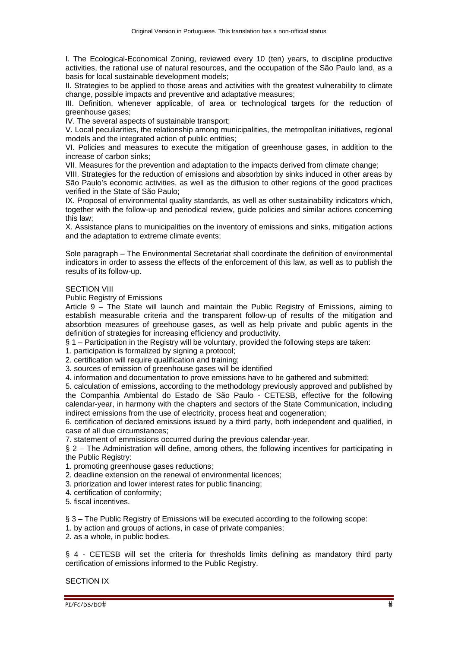I. The Ecological-Economical Zoning, reviewed every 10 (ten) years, to discipline productive activities, the rational use of natural resources, and the occupation of the São Paulo land, as a basis for local sustainable development models;

II. Strategies to be applied to those areas and activities with the greatest vulnerability to climate change, possible impacts and preventive and adaptative measures;

III. Definition, whenever applicable, of area or technological targets for the reduction of greenhouse gases;

IV. The several aspects of sustainable transport;

V. Local peculiarities, the relationship among municipalities, the metropolitan initiatives, regional models and the integrated action of public entities;

VI. Policies and measures to execute the mitigation of greenhouse gases, in addition to the increase of carbon sinks;

VII. Measures for the prevention and adaptation to the impacts derived from climate change;

VIII. Strategies for the reduction of emissions and absorbtion by sinks induced in other areas by São Paulo's economic activities, as well as the diffusion to other regions of the good practices verified in the State of São Paulo;

IX. Proposal of environmental quality standards, as well as other sustainability indicators which, together with the follow-up and periodical review, guide policies and similar actions concerning this law;

X. Assistance plans to municipalities on the inventory of emissions and sinks, mitigation actions and the adaptation to extreme climate events;

Sole paragraph – The Environmental Secretariat shall coordinate the definition of environmental indicators in order to assess the effects of the enforcement of this law, as well as to publish the results of its follow-up.

## **SECTION VIII**

Public Registry of Emissions

Article 9 – The State will launch and maintain the Public Registry of Emissions, aiming to establish measurable criteria and the transparent follow-up of results of the mitigation and absorbtion measures of greehouse gases, as well as help private and public agents in the definition of strategies for increasing efficiency and productivity.

§ 1 – Participation in the Registry will be voluntary, provided the following steps are taken:

1. participation is formalized by signing a protocol;

2. certification will require qualification and training;

3. sources of emission of greenhouse gases will be identified

4. information and documentation to prove emissions have to be gathered and submitted;

5. calculation of emissions, according to the methodology previously approved and published by the Companhia Ambiental do Estado de São Paulo - CETESB, effective for the following calendar-year, in harmony with the chapters and sectors of the State Communication, including indirect emissions from the use of electricity, process heat and cogeneration;

6. certification of declared emissions issued by a third party, both independent and qualified, in case of all due circumstances;

7. statement of emmissions occurred during the previous calendar-year.

§ 2 - The Administration will define, among others, the following incentives for participating in the Public Registry:

1. promoting greenhouse gases reductions;

2. deadline extension on the renewal of environmental licences;

3. priorization and lower interest rates for public financing;

4. certification of conformity;

5. fiscal incentives.

§ 3 – The Public Registry of Emissions will be executed according to the following scope:

1. by action and groups of actions, in case of private companies;

2. as a whole, in public bodies.

§ 4 - CETESB will set the criteria for thresholds limits defining as mandatory third party certification of emissions informed to the Public Registry.

## SECTION IX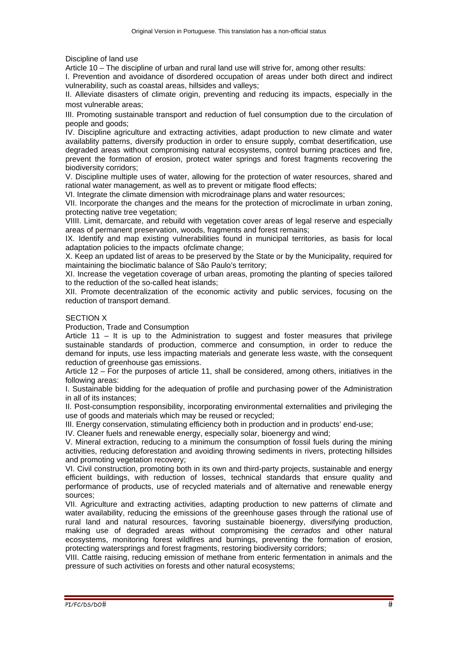Discipline of land use

Article 10 – The discipline of urban and rural land use will strive for, among other results:

I. Prevention and avoidance of disordered occupation of areas under both direct and indirect vulnerability, such as coastal areas, hillsides and valleys;

II. Alleviate disasters of climate origin, preventing and reducing its impacts, especially in the most vulnerable areas;

III. Promoting sustainable transport and reduction of fuel consumption due to the circulation of people and goods;

IV. Discipline agriculture and extracting activities, adapt production to new climate and water availablity patterns, diversify production in order to ensure supply, combat desertification, use degraded areas without compromising natural ecosystems, control burning practices and fire, prevent the formation of erosion, protect water springs and forest fragments recovering the biodiversity corridors;

V. Discipline multiple uses of water, allowing for the protection of water resources, shared and rational water management, as well as to prevent or mitigate flood effects;

VI. Integrate the climate dimension with microdrainage plans and water resources;

VII. Incorporate the changes and the means for the protection of microclimate in urban zoning, protecting native tree vegetation;

VIIII. Limit, demarcate, and rebuild with vegetation cover areas of legal reserve and especially areas of permanent preservation, woods, fragments and forest remains;

IX. Identify and map existing vulnerabilities found in municipal territories, as basis for local adaptation policies to the impacts ofclimate change;

X. Keep an updated list of areas to be preserved by the State or by the Municipality, required for maintaining the bioclimatic balance of São Paulo's territory;

XI. Increase the vegetation coverage of urban areas, promoting the planting of species tailored to the reduction of the so-called heat islands;

XII. Promote decentralization of the economic activity and public services, focusing on the reduction of transport demand.

# SECTION X

Production, Trade and Consumption

Article 11 – It is up to the Administration to suggest and foster measures that privilege sustainable standards of production, commerce and consumption, in order to reduce the demand for inputs, use less impacting materials and generate less waste, with the consequent reduction of greenhouse gas emissions.

Article 12 – For the purposes of article 11, shall be considered, among others, initiatives in the following areas:

I. Sustainable bidding for the adequation of profile and purchasing power of the Administration in all of its instances;

II. Post-consumption responsibility, incorporating environmental externalities and privileging the use of goods and materials which may be reused or recycled;

III. Energy conservation, stimulating efficiency both in production and in products' end-use;

IV. Cleaner fuels and renewable energy, especially solar, bioenergy and wind;

V. Mineral extraction, reducing to a minimum the consumption of fossil fuels during the mining activities, reducing deforestation and avoiding throwing sediments in rivers, protecting hillsides and promoting vegetation recovery;

VI. Civil construction, promoting both in its own and third-party projects, sustainable and energy efficient buildings, with reduction of losses, technical standards that ensure quality and performance of products, use of recycled materials and of alternative and renewable energy sources;

VII. Agriculture and extracting activities, adapting production to new patterns of climate and water availability, reducing the emissions of the greenhouse gases through the rational use of rural land and natural resources, favoring sustainable bioenergy, diversifying production, making use of degraded areas without compromising the *cerrados* and other natural ecosystems, monitoring forest wildfires and burnings, preventing the formation of erosion, protecting watersprings and forest fragments, restoring biodiversity corridors;

VIII. Cattle raising, reducing emission of methane from enteric fermentation in animals and the pressure of such activities on forests and other natural ecosystems;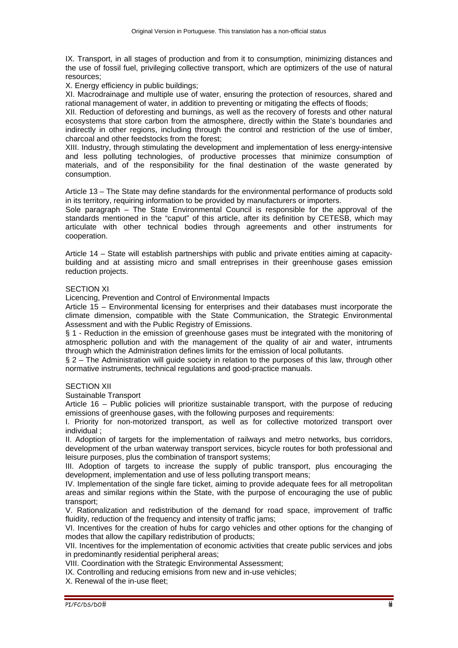IX. Transport, in all stages of production and from it to consumption, minimizing distances and the use of fossil fuel, privileging collective transport, which are optimizers of the use of natural resources;

X. Energy efficiency in public buildings;

XI. Macrodrainage and multiple use of water, ensuring the protection of resources, shared and rational management of water, in addition to preventing or mitigating the effects of floods;

XII. Reduction of deforesting and burnings, as well as the recovery of forests and other natural ecosystems that store carbon from the atmosphere, directly within the State's boundaries and indirectly in other regions, including through the control and restriction of the use of timber, charcoal and other feedstocks from the forest;

XIII. Industry, through stimulating the development and implementation of less energy-intensive and less polluting technologies, of productive processes that minimize consumption of materials, and of the responsibility for the final destination of the waste generated by consumption.

Article 13 – The State may define standards for the environmental performance of products sold in its territory, requiring information to be provided by manufacturers or importers.

Sole paragraph – The State Environmental Council is responsible for the approval of the standards mentioned in the "caput" of this article, after its definition by CETESB, which may articulate with other technical bodies through agreements and other instruments for cooperation.

Article 14 – State will establish partnerships with public and private entities aiming at capacitybuilding and at assisting micro and small entreprises in their greenhouse gases emission reduction projects.

## SECTION XI

Licencing, Prevention and Control of Environmental Impacts

Article 15 – Environmental licensing for enterprises and their databases must incorporate the climate dimension, compatible with the State Communication, the Strategic Environmental Assessment and with the Public Registry of Emissions.

§ 1 - Reduction in the emission of greenhouse gases must be integrated with the monitoring of atmospheric pollution and with the management of the quality of air and water, intruments through which the Administration defines limits for the emission of local pollutants.

§ 2 – The Administration will guide society in relation to the purposes of this law, through other normative instruments, technical regulations and good-practice manuals.

## SECTION XII

Sustainable Transport

Article 16 – Public policies will prioritize sustainable transport, with the purpose of reducing emissions of greenhouse gases, with the following purposes and requirements:

I. Priority for non-motorized transport, as well as for collective motorized transport over individual ;

II. Adoption of targets for the implementation of railways and metro networks, bus corridors, development of the urban waterway transport services, bicycle routes for both professional and leisure purposes, plus the combination of transport systems;

III. Adoption of targets to increase the supply of public transport, plus encouraging the development, implementation and use of less polluting transport means;

IV. Implementation of the single fare ticket, aiming to provide adequate fees for all metropolitan areas and similar regions within the State, with the purpose of encouraging the use of public transport;

V. Rationalization and redistribution of the demand for road space, improvement of traffic fluidity, reduction of the frequency and intensity of traffic jams;

VI. Incentives for the creation of hubs for cargo vehicles and other options for the changing of modes that allow the capillary redistribution of products;

VII. Incentives for the implementation of economic activities that create public services and jobs in predominantly residential peripheral areas;

VIII. Coordination with the Strategic Environmental Assessment;

IX. Controlling and reducing emisions from new and in-use vehicles;

X. Renewal of the in-use fleet;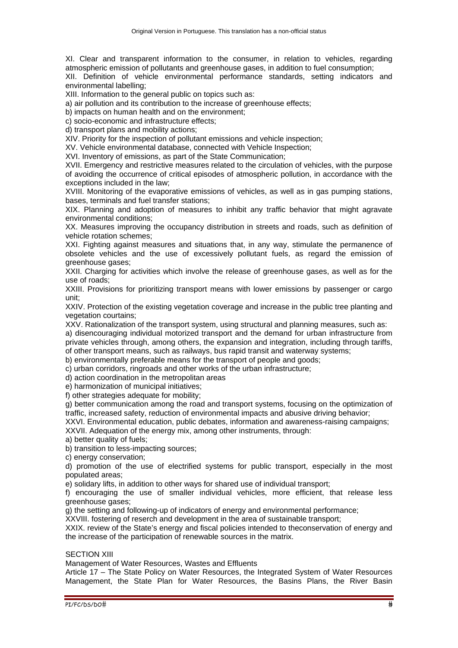XI. Clear and transparent information to the consumer, in relation to vehicles, regarding atmospheric emission of pollutants and greenhouse gases, in addition to fuel consumption;

XII. Definition of vehicle environmental performance standards, setting indicators and environmental labelling;

XIII. Information to the general public on topics such as:

a) air pollution and its contribution to the increase of greenhouse effects;

b) impacts on human health and on the environment;

c) socio-economic and infrastructure effects;

d) transport plans and mobility actions;

XIV. Priority for the inspection of pollutant emissions and vehicle inspection;

XV. Vehicle environmental database, connected with Vehicle Inspection;

XVI. Inventory of emissions, as part of the State Communication;

XVII. Emergency and restrictive measures related to the circulation of vehicles, with the purpose of avoiding the occurrence of critical episodes of atmospheric pollution, in accordance with the exceptions included in the law;

XVIII. Monitoring of the evaporative emissions of vehicles, as well as in gas pumping stations, bases, terminals and fuel transfer stations;

XIX. Planning and adoption of measures to inhibit any traffic behavior that might agravate environmental conditions;

XX. Measures improving the occupancy distribution in streets and roads, such as definition of vehicle rotation schemes;

XXI. Fighting against measures and situations that, in any way, stimulate the permanence of obsolete vehicles and the use of excessively pollutant fuels, as regard the emission of greenhouse gases;

XXII. Charging for activities which involve the release of greenhouse gases, as well as for the use of roads;

XXIII. Provisions for prioritizing transport means with lower emissions by passenger or cargo unit;

XXIV. Protection of the existing vegetation coverage and increase in the public tree planting and vegetation courtains;

XXV. Rationalization of the transport system, using structural and planning measures, such as:

a) disencouraging individual motorized transport and the demand for urban infrastructure from private vehicles through, among others, the expansion and integration, including through tariffs, of other transport means, such as railways, bus rapid transit and waterway systems;

b) environmentally preferable means for the transport of people and goods;

c) urban corridors, ringroads and other works of the urban infrastructure;

d) action coordination in the metropolitan areas

e) harmonization of municipal initiatives;

f) other strategies adequate for mobility:

g) better communication among the road and transport systems, focusing on the optimization of traffic, increased safety, reduction of environmental impacts and abusive driving behavior;

XXVI. Environmental education, public debates, information and awareness-raising campaigns; XXVII. Adequation of the energy mix, among other instruments, through:

a) better quality of fuels;

b) transition to less-impacting sources;

c) energy conservation;

d) promotion of the use of electrified systems for public transport, especially in the most populated areas;

e) solidary lifts, in addition to other ways for shared use of individual transport;

f) encouraging the use of smaller individual vehicles, more efficient, that release less greenhouse gases;

g) the setting and following-up of indicators of energy and environmental performance;

XXVIII. fostering of reserch and development in the area of sustainable transport;

XXIX. review of the State's energy and fiscal policies intended to theconservation of energy and the increase of the participation of renewable sources in the matrix.

## SECTION XIII

Management of Water Resources, Wastes and Effluents

Article 17 – The State Policy on Water Resources, the Integrated System of Water Resources Management, the State Plan for Water Resources, the Basins Plans, the River Basin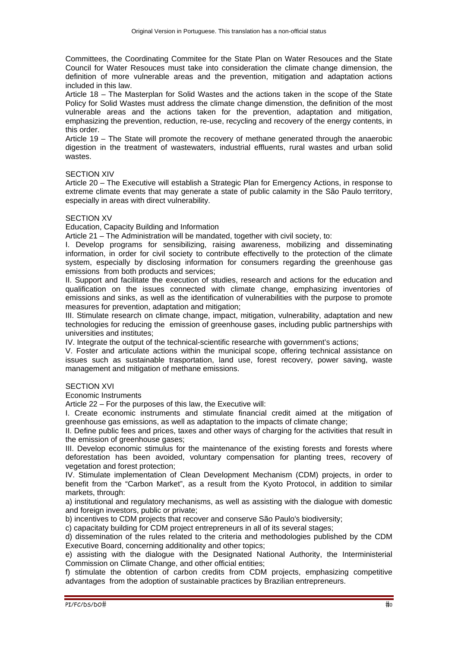Committees, the Coordinating Commitee for the State Plan on Water Resouces and the State Council for Water Resouces must take into consideration the climate change dimension, the definition of more vulnerable areas and the prevention, mitigation and adaptation actions included in this law.

Article 18 – The Masterplan for Solid Wastes and the actions taken in the scope of the State Policy for Solid Wastes must address the climate change dimenstion, the definition of the most vulnerable areas and the actions taken for the prevention, adaptation and mitigation, emphasizing the prevention, reduction, re-use, recycling and recovery of the energy contents, in this order.

Article 19 – The State will promote the recovery of methane generated through the anaerobic digestion in the treatment of wastewaters, industrial effluents, rural wastes and urban solid wastes.

#### SECTION XIV

Article 20 – The Executive will establish a Strategic Plan for Emergency Actions, in response to extreme climate events that may generate a state of public calamity in the São Paulo territory, especially in areas with direct vulnerability.

## SECTION XV

Education, Capacity Building and Information

Article 21 – The Administration will be mandated, together with civil society, to:

I. Develop programs for sensibilizing, raising awareness, mobilizing and disseminating information, in order for civil society to contribute effectivelly to the protection of the climate system, especially by disclosing information for consumers regarding the greenhouse gas emissions from both products and services;

II. Support and facilitate the execution of studies, research and actions for the education and qualification on the issues connected with climate change, emphasizing inventories of emissions and sinks, as well as the identification of vulnerabilities with the purpose to promote measures for prevention, adaptation and mitigation;

III. Stimulate research on climate change, impact, mitigation, vulnerability, adaptation and new technologies for reducing the emission of greenhouse gases, including public partnerships with universities and institutes;

IV. Integrate the output of the technical-scientific researche with government's actions;

V. Foster and articulate actions within the municipal scope, offering technical assistance on issues such as sustainable trasportation, land use, forest recovery, power saving, waste management and mitigation of methane emissions.

#### SECTION XVI

Economic Instruments

Article 22 – For the purposes of this law, the Executive will:

I. Create economic instruments and stimulate financial credit aimed at the mitigation of greenhouse gas emissions, as well as adaptation to the impacts of climate change;

II. Define public fees and prices, taxes and other ways of charging for the activities that result in the emission of greenhouse gases;

III. Develop economic stimulus for the maintenance of the existing forests and forests where deforestation has been avoided, voluntary compensation for planting trees, recovery of vegetation and forest protection;

IV. Stimulate implementation of Clean Development Mechanism (CDM) projects, in order to benefit from the "Carbon Market", as a result from the Kyoto Protocol, in addition to similar markets, through:

a) institutional and regulatory mechanisms, as well as assisting with the dialogue with domestic and foreign investors, public or private;

b) incentives to CDM projects that recover and conserve São Paulo's biodiversity;

c) capacitaty building for CDM project entrepreneurs in all of its several stages;

d) dissemination of the rules related to the criteria and methodologies published by the CDM Executive Board, concerning additionality and other topics;

e) assisting with the dialogue with the Designated National Authority, the Interministerial Commission on Climate Change, and other official entities;

f) stimulate the obtention of carbon credits from CDM projects, emphasizing competitive advantages from the adoption of sustainable practices by Brazilian entrepreneurs.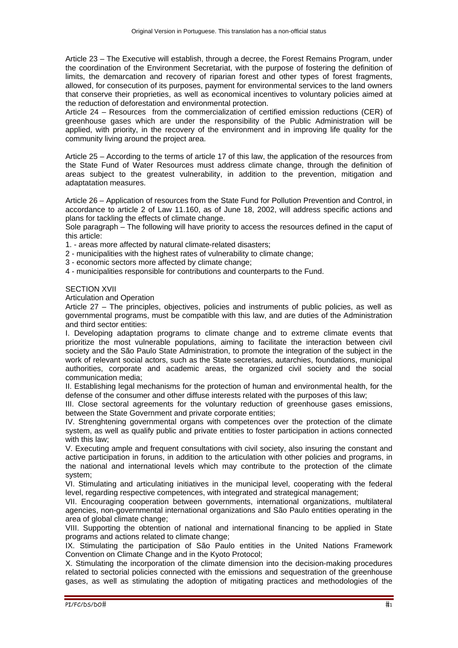Article 23 – The Executive will establish, through a decree, the Forest Remains Program, under the coordination of the Environment Secretariat, with the purpose of fostering the definition of limits, the demarcation and recovery of riparian forest and other types of forest fragments, allowed, for consecution of its purposes, payment for environmental services to the land owners that conserve their proprieties, as well as economical incentives to voluntary policies aimed at the reduction of deforestation and environmental protection.

Article 24 – Resources from the commercialization of certified emission reductions (CER) of greenhouse gases which are under the responsibility of the Public Administration will be applied, with priority, in the recovery of the environment and in improving life quality for the community living around the project area.

Article 25 – According to the terms of article 17 of this law, the application of the resources from the State Fund of Water Resources must address climate change, through the definition of areas subject to the greatest vulnerability, in addition to the prevention, mitigation and adaptatation measures.

Article 26 – Application of resources from the State Fund for Pollution Prevention and Control, in accordance to article 2 of Law 11.160, as of June 18, 2002, will address specific actions and plans for tackling the effects of climate change.

Sole paragraph – The following will have priority to access the resources defined in the caput of this article:

1. - areas more affected by natural climate-related disasters;

2 - municipalities with the highest rates of vulnerability to climate change;

3 - economic sectors more affected by climate change;

4 - municipalities responsible for contributions and counterparts to the Fund.

#### SECTION XVII

Articulation and Operation

Article 27 – The principles, objectives, policies and instruments of public policies, as well as governmental programs, must be compatible with this law, and are duties of the Administration and third sector entities:

I. Developing adaptation programs to climate change and to extreme climate events that prioritize the most vulnerable populations, aiming to facilitate the interaction between civil society and the São Paulo State Administration, to promote the integration of the subject in the work of relevant social actors, such as the State secretaries, autarchies, foundations, municipal authorities, corporate and academic areas, the organized civil society and the social communication media;

II. Establishing legal mechanisms for the protection of human and environmental health, for the defense of the consumer and other diffuse interests related with the purposes of this law;

III. Close sectoral agreements for the voluntary reduction of greenhouse gases emissions, between the State Government and private corporate entities;

IV. Strenghtening governmental organs with competences over the protection of the climate system, as well as qualify public and private entities to foster participation in actions connected with this law:

V. Executing ample and frequent consultations with civil society, also insuring the constant and active participation in foruns, in addition to the articulation with other policies and programs, in the national and international levels which may contribute to the protection of the climate system;

VI. Stimulating and articulating initiatives in the municipal level, cooperating with the federal level, regarding respective competences, with integrated and strategical management;

VII. Encouraging cooperation between governments, international organizations, multilateral agencies, non-governmental international organizations and São Paulo entities operating in the area of global climate change;

VIII. Supporting the obtention of national and international financing to be applied in State programs and actions related to climate change;

IX. Stimulating the participation of São Paulo entities in the United Nations Framework Convention on Climate Change and in the Kyoto Protocol;

X. Stimulating the incorporation of the climate dimension into the decision-making procedures related to sectorial policies connected with the emissions and sequestration of the greenhouse gases, as well as stimulating the adoption of mitigating practices and methodologies of the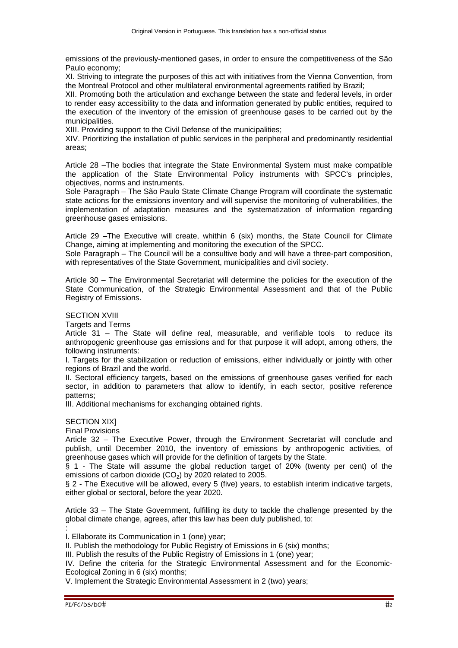emissions of the previously-mentioned gases, in order to ensure the competitiveness of the São Paulo economy;

XI. Striving to integrate the purposes of this act with initiatives from the Vienna Convention, from the Montreal Protocol and other multilateral environmental agreements ratified by Brazil;

XII. Promoting both the articulation and exchange between the state and federal levels, in order to render easy accessibility to the data and information generated by public entities, required to the execution of the inventory of the emission of greenhouse gases to be carried out by the municipalities.

XIII. Providing support to the Civil Defense of the municipalities;

XIV. Prioritizing the installation of public services in the peripheral and predominantly residential areas;

Article 28 –The bodies that integrate the State Environmental System must make compatible the application of the State Environmental Policy instruments with SPCC's principles, objectives, norms and instruments.

Sole Paragraph – The São Paulo State Climate Change Program will coordinate the systematic state actions for the emissions inventory and will supervise the monitoring of vulnerabilities, the implementation of adaptation measures and the systematization of information regarding greenhouse gases emissions.

Article 29 –The Executive will create, whithin 6 (six) months, the State Council for Climate Change, aiming at implementing and monitoring the execution of the SPCC.

Sole Paragraph – The Council will be a consultive body and will have a three-part composition, with representatives of the State Government, municipalities and civil society.

Article 30 – The Environmental Secretariat will determine the policies for the execution of the State Communication, of the Strategic Environmental Assessment and that of the Public Registry of Emissions.

# **SECTION XVIII**

Targets and Terms

Article 31 – The State will define real, measurable, and verifiable tools to reduce its anthropogenic greenhouse gas emissions and for that purpose it will adopt, among others, the following instruments:

I. Targets for the stabilization or reduction of emissions, either individually or jointly with other regions of Brazil and the world.

II. Sectoral efficiency targets, based on the emissions of greenhouse gases verified for each sector, in addition to parameters that allow to identify, in each sector, positive reference patterns;

III. Additional mechanisms for exchanging obtained rights.

SECTION XIXI

Final Provisions

Article 32 – The Executive Power, through the Environment Secretariat will conclude and publish, until December 2010, the inventory of emissions by anthropogenic activities, of greenhouse gases which will provide for the definition of targets by the State.

§ 1 - The State will assume the global reduction target of 20% (twenty per cent) of the emissions of carbon dioxide  $(CO<sub>2</sub>)$  by 2020 related to 2005.

§ 2 - The Executive will be allowed, every 5 (five) years, to establish interim indicative targets, either global or sectoral, before the year 2020.

Article 33 – The State Government, fulfilling its duty to tackle the challenge presented by the global climate change, agrees, after this law has been duly published, to:

I. Ellaborate its Communication in 1 (one) year;

II. Publish the methodology for Public Registry of Emissions in 6 (six) months;

III. Publish the results of the Public Registry of Emissions in 1 (one) year;

IV. Define the criteria for the Strategic Environmental Assessment and for the Economic-Ecological Zoning in 6 (six) months;

V. Implement the Strategic Environmental Assessment in 2 (two) years;

: